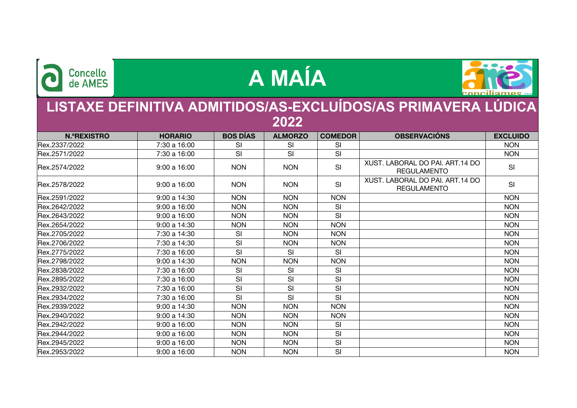

## **A MAÍA**



## **LISTAXE DEFINITIVA ADMITIDOS/AS-EXCLUÍDOS/AS PRIMAVERA LÚDICA 2022**

**N.ºREXISTRO HORARIO BOS DÍAS ALMORZO COMEDOR OBSERVACIÓNS EXCLUIDO** Rex.2337/2022 7:30 a 16:00 SI SI SI NON Rex.2571/2022 7:30 a 16:00 SI SI SI NON Rex.2574/2022 9:00 a 16:00 NON NON SI SI REGULAMENTAL MENTA Rex.2578/2022  $\vert$  9:00 a 16:00  $\vert$  NON  $\vert$  NON SI  $\vert$  NON  $\vert$  SI SECTIL MENTAL SINGLET SINGLET SINGLET SINGLET SI Rex.2591/2022 9:00 a 14:30 NON NON NON NON Rex.2642/2022 | 9:00 a 16:00 | NON | NON | SI | | NON Rex.2643/2022 | 9:00 a 16:00 | NON | NON | SI | | NON Rex.2654/2022 9:00 a 14:30 NON NON NON NON Rex.2705/2022 7:30 a 14:30 SI NON NON NON Rex.2706/2022 | 7:30 a 14:30 | SI | NON | NON | | NON Rex.2775/2022 7:30 a 16:00 SI SI SI NON Rex.2798/2022 9:00 a 14:30 NON NON NON NON Rex.2838/2022 7:30 a 16:00 SI SI SI NON Rex.2895/2022 7:30 a 16:00 SI SI SI NON Rex.2932/2022 7:30 a 16:00 SI SI SI NON Rex.2934/2022 7:30 a 16:00 SI SI SI NON Rex.2939/2022 9:00 a 14:30 NON NON NON NON Rex.2940/2022 9:00 a 14:30 NON NON NON NON Rex.2942/2022 | 9:00 a 16:00 | NON | NON | SI | | NON Rex.2944/2022 | 9:00 a 16:00 | NON | NON | SI | | NON Rex.2945/2022 | 9:00 a 16:00 | NON | NON | SI | | NON Rex.2953/2022 9:00 a 16:00 NON NON SI NON XUST. LABORAL DO PAI. ART.14 DO REGULAMENTO XUST. LABORAL DO PAI. ART.14 DO REGULAMENTO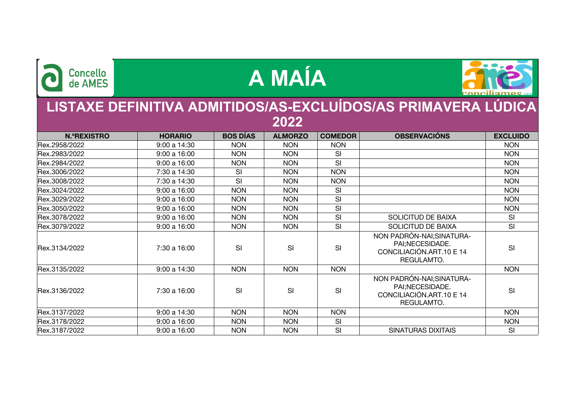| <b>Concello</b><br>de AMES                                            |                | A MAÍA          |                |                |                                                                                        |                 |  |  |  |  |  |
|-----------------------------------------------------------------------|----------------|-----------------|----------------|----------------|----------------------------------------------------------------------------------------|-----------------|--|--|--|--|--|
| LISTAXE DEFINITIVA ADMITIDOS/AS-EXCLUÍDOS/AS PRIMAVERA LÚDICA<br>2022 |                |                 |                |                |                                                                                        |                 |  |  |  |  |  |
| <b>N.ºREXISTRO</b>                                                    | <b>HORARIO</b> | <b>BOS DÍAS</b> | <b>ALMORZO</b> | <b>COMEDOR</b> | <b>OBSERVACIÓNS</b>                                                                    | <b>EXCLUIDO</b> |  |  |  |  |  |
| Rex.2958/2022                                                         | 9:00 a 14:30   | <b>NON</b>      | <b>NON</b>     | <b>NON</b>     |                                                                                        | <b>NON</b>      |  |  |  |  |  |
| Rex.2983/2022                                                         | 9:00a16:00     | <b>NON</b>      | <b>NON</b>     | SI             |                                                                                        | <b>NON</b>      |  |  |  |  |  |
| Rex.2984/2022                                                         | 9:00a16:00     | <b>NON</b>      | <b>NON</b>     | SI             |                                                                                        | <b>NON</b>      |  |  |  |  |  |
| Rex.3006/2022                                                         | 7:30 a 14:30   | SI              | <b>NON</b>     | <b>NON</b>     |                                                                                        | <b>NON</b>      |  |  |  |  |  |
| Rex.3008/2022                                                         | 7:30 a 14:30   | SI              | <b>NON</b>     | <b>NON</b>     |                                                                                        | <b>NON</b>      |  |  |  |  |  |
| Rex.3024/2022                                                         | 9:00 a 16:00   | <b>NON</b>      | <b>NON</b>     | SI             |                                                                                        | <b>NON</b>      |  |  |  |  |  |
| Rex.3029/2022                                                         | 9:00a16:00     | <b>NON</b>      | <b>NON</b>     | SI             |                                                                                        | <b>NON</b>      |  |  |  |  |  |
| Rex.3050/2022                                                         | 9:00a16:00     | <b>NON</b>      | <b>NON</b>     | SI             |                                                                                        | <b>NON</b>      |  |  |  |  |  |
| Rex.3078/2022                                                         | 9:00 a 16:00   | <b>NON</b>      | <b>NON</b>     | SI             | <b>SOLICITUD DE BAIXA</b>                                                              | SI              |  |  |  |  |  |
| Rex.3079/2022                                                         | 9:00a16:00     | <b>NON</b>      | <b>NON</b>     | SI             | SOLICITUD DE BAIXA                                                                     | SI              |  |  |  |  |  |
| Rex.3134/2022                                                         | 7:30 a 16:00   | SI              | SI             | SI             | NON PADRÓN-NAI; SINATURA-<br>PAI;NECESIDADE.<br>CONCILIACIÓN.ART.10 E 14<br>REGULAMTO. | SI              |  |  |  |  |  |
| Rex.3135/2022                                                         | 9:00a14:30     | <b>NON</b>      | <b>NON</b>     | <b>NON</b>     |                                                                                        | <b>NON</b>      |  |  |  |  |  |
| Rex.3136/2022                                                         | 7:30 a 16:00   | SI              | SI             | SI             | NON PADRÓN-NAI; SINATURA-<br>PAI;NECESIDADE.<br>CONCILIACIÓN.ART.10 E 14<br>REGULAMTO. | SI              |  |  |  |  |  |
| Rex.3137/2022                                                         | 9:00 a 14:30   | <b>NON</b>      | <b>NON</b>     | <b>NON</b>     |                                                                                        | <b>NON</b>      |  |  |  |  |  |
| Rex.3178/2022                                                         | 9:00a16:00     | <b>NON</b>      | <b>NON</b>     | SI             |                                                                                        | <b>NON</b>      |  |  |  |  |  |
| Rex.3187/2022                                                         | 9:00a16:00     | <b>NON</b>      | <b>NON</b>     | SI             | <b>SINATURAS DIXITAIS</b>                                                              | SI              |  |  |  |  |  |